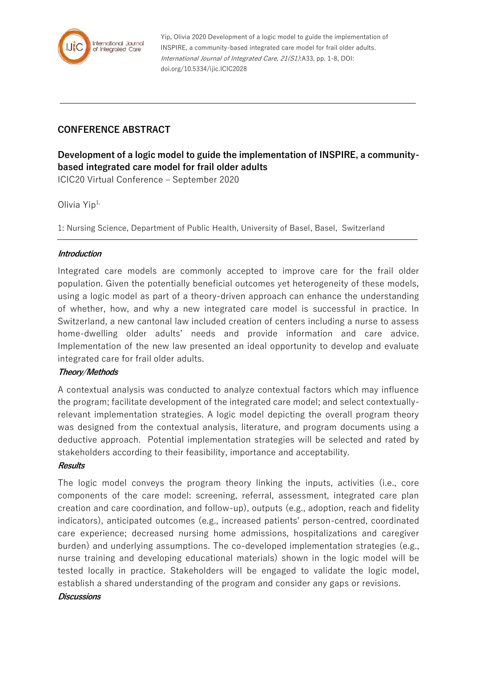

Yip, Olivia 2020 Development of a logic model to guide the implementation of INSPIRE, a community-based integrated care model for frail older adults. International Journal of Integrated Care, 21(S1):A33, pp. 1-8, DOI: doi.org/10.5334/ijic.ICIC2028

# **CONFERENCE ABSTRACT**

**Development of a logic model to guide the implementation of INSPIRE, a communitybased integrated care model for frail older adults**

ICIC20 Virtual Conference – September 2020

Olivia  $Yip^{1}$ ,

1: Nursing Science, Department of Public Health, University of Basel, Basel, Switzerland

## **Introduction**

Integrated care models are commonly accepted to improve care for the frail older population. Given the potentially beneficial outcomes yet heterogeneity of these models, using a logic model as part of a theory-driven approach can enhance the understanding of whether, how, and why a new integrated care model is successful in practice. In Switzerland, a new cantonal law included creation of centers including a nurse to assess home-dwelling older adults' needs and provide information and care advice. Implementation of the new law presented an ideal opportunity to develop and evaluate integrated care for frail older adults.

## **Theory/Methods**

A contextual analysis was conducted to analyze contextual factors which may influence the program; facilitate development of the integrated care model; and select contextuallyrelevant implementation strategies. A logic model depicting the overall program theory was designed from the contextual analysis, literature, and program documents using a deductive approach. Potential implementation strategies will be selected and rated by stakeholders according to their feasibility, importance and acceptability.

#### **Results**

The logic model conveys the program theory linking the inputs, activities (i.e., core components of the care model: screening, referral, assessment, integrated care plan creation and care coordination, and follow-up), outputs (e.g., adoption, reach and fidelity indicators), anticipated outcomes (e.g., increased patients' person-centred, coordinated care experience; decreased nursing home admissions, hospitalizations and caregiver burden) and underlying assumptions. The co-developed implementation strategies (e.g., nurse training and developing educational materials) shown in the logic model will be tested locally in practice. Stakeholders will be engaged to validate the logic model, establish a shared understanding of the program and consider any gaps or revisions.

#### **Discussions**